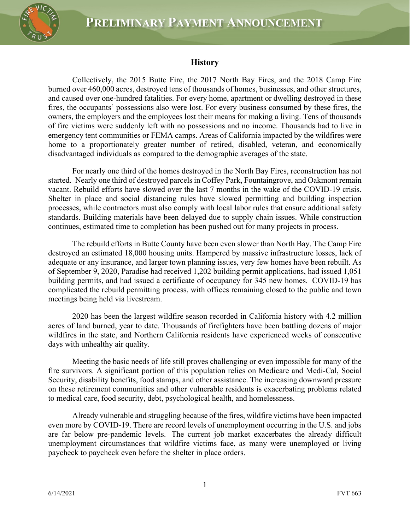

## **History**

Collectively, the 2015 Butte Fire, the 2017 North Bay Fires, and the 2018 Camp Fire burned over 460,000 acres, destroyed tens of thousands of homes, businesses, and other structures, and caused over one-hundred fatalities. For every home, apartment or dwelling destroyed in these fires, the occupants' possessions also were lost. For every business consumed by these fires, the owners, the employers and the employees lost their means for making a living. Tens of thousands of fire victims were suddenly left with no possessions and no income. Thousands had to live in emergency tent communities or FEMA camps. Areas of California impacted by the wildfires were home to a proportionately greater number of retired, disabled, veteran, and economically disadvantaged individuals as compared to the demographic averages of the state.

For nearly one third of the homes destroyed in the North Bay Fires, reconstruction has not started. Nearly one third of destroyed parcels in Coffey Park, Fountaingrove, and Oakmont remain vacant. Rebuild efforts have slowed over the last 7 months in the wake of the COVID-19 crisis. Shelter in place and social distancing rules have slowed permitting and building inspection processes, while contractors must also comply with local labor rules that ensure additional safety standards. Building materials have been delayed due to supply chain issues. While construction continues, estimated time to completion has been pushed out for many projects in process.

The rebuild efforts in Butte County have been even slower than North Bay. The Camp Fire destroyed an estimated 18,000 housing units. Hampered by massive infrastructure losses, lack of adequate or any insurance, and larger town planning issues, very few homes have been rebuilt. As of September 9, 2020, Paradise had received 1,202 building permit applications, had issued 1,051 building permits, and had issued a certificate of occupancy for 345 new homes. COVID-19 has complicated the rebuild permitting process, with offices remaining closed to the public and town meetings being held via livestream.

2020 has been the largest wildfire season recorded in California history with 4.2 million acres of land burned, year to date. Thousands of firefighters have been battling dozens of major wildfires in the state, and Northern California residents have experienced weeks of consecutive days with unhealthy air quality.

Meeting the basic needs of life still proves challenging or even impossible for many of the fire survivors. A significant portion of this population relies on Medicare and Medi-Cal, Social Security, disability benefits, food stamps, and other assistance. The increasing downward pressure on these retirement communities and other vulnerable residents is exacerbating problems related to medical care, food security, debt, psychological health, and homelessness.

Already vulnerable and struggling because of the fires, wildfire victims have been impacted even more by COVID-19. There are record levels of unemployment occurring in the U.S. and jobs are far below pre-pandemic levels. The current job market exacerbates the already difficult unemployment circumstances that wildfire victims face, as many were unemployed or living paycheck to paycheck even before the shelter in place orders.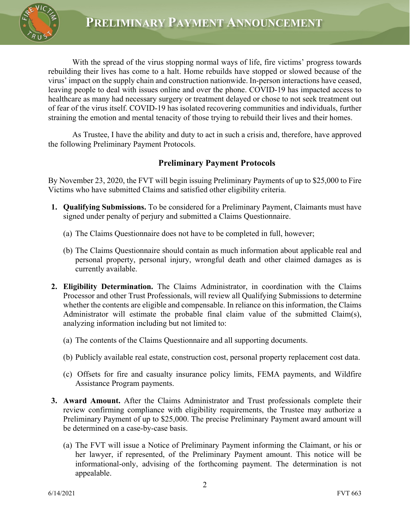

With the spread of the virus stopping normal ways of life, fire victims' progress towards rebuilding their lives has come to a halt. Home rebuilds have stopped or slowed because of the virus' impact on the supply chain and construction nationwide. In-person interactions have ceased, leaving people to deal with issues online and over the phone. COVID-19 has impacted access to healthcare as many had necessary surgery or treatment delayed or chose to not seek treatment out of fear of the virus itself. COVID-19 has isolated recovering communities and individuals, further straining the emotion and mental tenacity of those trying to rebuild their lives and their homes.

As Trustee, I have the ability and duty to act in such a crisis and, therefore, have approved the following Preliminary Payment Protocols.

## **Preliminary Payment Protocols**

By November 23, 2020, the FVT will begin issuing Preliminary Payments of up to \$25,000 to Fire Victims who have submitted Claims and satisfied other eligibility criteria.

- **1. Qualifying Submissions.** To be considered for a Preliminary Payment, Claimants must have signed under penalty of perjury and submitted a Claims Questionnaire.
	- (a) The Claims Questionnaire does not have to be completed in full, however;
	- (b) The Claims Questionnaire should contain as much information about applicable real and personal property, personal injury, wrongful death and other claimed damages as is currently available.
- **2. Eligibility Determination.** The Claims Administrator, in coordination with the Claims Processor and other Trust Professionals, will review all Qualifying Submissions to determine whether the contents are eligible and compensable. In reliance on this information, the Claims Administrator will estimate the probable final claim value of the submitted Claim(s), analyzing information including but not limited to:
	- (a) The contents of the Claims Questionnaire and all supporting documents.
	- (b) Publicly available real estate, construction cost, personal property replacement cost data.
	- (c) Offsets for fire and casualty insurance policy limits, FEMA payments, and Wildfire Assistance Program payments.
- **3. Award Amount.** After the Claims Administrator and Trust professionals complete their review confirming compliance with eligibility requirements, the Trustee may authorize a Preliminary Payment of up to \$25,000. The precise Preliminary Payment award amount will be determined on a case-by-case basis.
	- (a) The FVT will issue a Notice of Preliminary Payment informing the Claimant, or his or her lawyer, if represented, of the Preliminary Payment amount. This notice will be informational-only, advising of the forthcoming payment. The determination is not appealable.